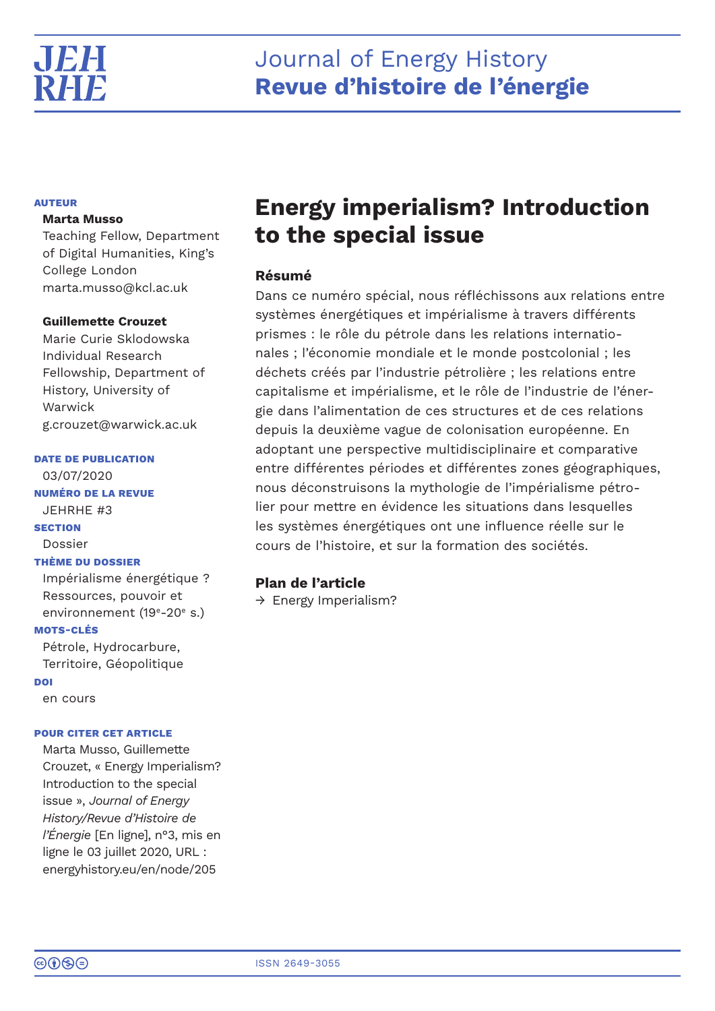

# **AUTEUR**

# **Marta Musso**

Teaching Fellow, Department of Digital Humanities, King's College London marta.musso@kcl.ac.uk

# **Guillemette Crouzet**

Marie Curie Sklodowska Individual Research Fellowship, Department of History, University of Warwick g.crouzet@warwick.ac.uk

# **DATE DE PUBLICATION**

03/07/2020 **NUMÉRO DE LA REVUE** JEHRHE #3 **SECTION** Dossier **THÈME DU DOSSIER** Impérialisme énergétique ? Ressources, pouvoir et environnement (19<sup>e</sup>-20<sup>e</sup> s.) **MOTS-CLÉS** Pétrole, Hydrocarbure, Territoire, Géopolitique **DOI** en cours

# **POUR CITER CET ARTICLE**

Marta Musso, Guillemette Crouzet, « Energy Imperialism? Introduction to the special issue », *Journal of Energy History/Revue d'Histoire de l'Énergie* [En ligne], n°3, mis en ligne le 03 juillet 2020, URL : energyhistory.eu/en/node/205

# **Energy imperialism? Introduction to the special issue**

# **Résumé**

Dans ce numéro spécial, nous réfléchissons aux relations entre systèmes énergétiques et impérialisme à travers différents prismes : le rôle du pétrole dans les relations internationales ; l'économie mondiale et le monde postcolonial ; les déchets créés par l'industrie pétrolière ; les relations entre capitalisme et impérialisme, et le rôle de l'industrie de l'énergie dans l'alimentation de ces structures et de ces relations depuis la deuxième vague de colonisation européenne. En adoptant une perspective multidisciplinaire et comparative entre différentes périodes et différentes zones géographiques, nous déconstruisons la mythologie de l'impérialisme pétrolier pour mettre en évidence les situations dans lesquelles les systèmes énergétiques ont une influence réelle sur le cours de l'histoire, et sur la formation des sociétés.

# **Plan de l'article**

 $\rightarrow$  Energy Imperialism?

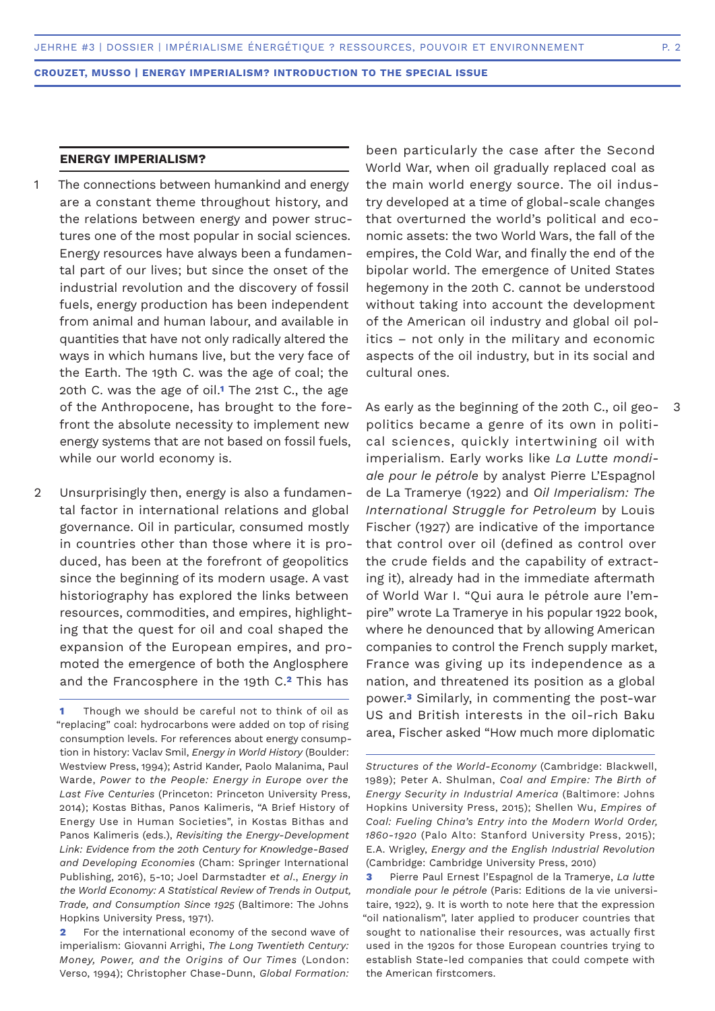# **ENERGY IMPERIALISM?**

- The connections between humankind and energy are a constant theme throughout history, and the relations between energy and power structures one of the most popular in social sciences. Energy resources have always been a fundamental part of our lives; but since the onset of the industrial revolution and the discovery of fossil fuels, energy production has been independent from animal and human labour, and available in quantities that have not only radically altered the ways in which humans live, but the very face of the Earth. The 19th C. was the age of coal; the 20th C. was the age of oil.**1** The 21st C., the age of the Anthropocene, has brought to the forefront the absolute necessity to implement new energy systems that are not based on fossil fuels, while our world economy is. 1
- Unsurprisingly then, energy is also a fundamental factor in international relations and global governance. Oil in particular, consumed mostly in countries other than those where it is produced, has been at the forefront of geopolitics since the beginning of its modern usage. A vast historiography has explored the links between resources, commodities, and empires, highlighting that the quest for oil and coal shaped the expansion of the European empires, and promoted the emergence of both the Anglosphere and the Francosphere in the 19th C.**2** This has  $\mathcal{D}$

been particularly the case after the Second World War, when oil gradually replaced coal as the main world energy source. The oil industry developed at a time of global-scale changes that overturned the world's political and economic assets: the two World Wars, the fall of the empires, the Cold War, and finally the end of the bipolar world. The emergence of United States hegemony in the 20th C. cannot be understood without taking into account the development of the American oil industry and global oil politics – not only in the military and economic aspects of the oil industry, but in its social and cultural ones.

As early as the beginning of the 20th C., oil geopolitics became a genre of its own in political sciences, quickly intertwining oil with imperialism. Early works like *La Lutte mondiale pour le pétrole* by analyst Pierre L'Espagnol de La Tramerye (1922) and *Oil Imperialism: The International Struggle for Petroleum* by Louis Fischer (1927) are indicative of the importance that control over oil (defined as control over the crude fields and the capability of extracting it), already had in the immediate aftermath of World War I. "Qui aura le pétrole aure l'empire" wrote La Tramerye in his popular 1922 book, where he denounced that by allowing American companies to control the French supply market, France was giving up its independence as a nation, and threatened its position as a global power.**3** Similarly, in commenting the post-war US and British interests in the oil-rich Baku area, Fischer asked "How much more diplomatic

3

**<sup>1</sup>** Though we should be careful not to think of oil as "replacing" coal: hydrocarbons were added on top of rising consumption levels. For references about energy consumption in history: Vaclav Smil, *Energy in World History* (Boulder: Westview Press, 1994); Astrid Kander, Paolo Malanima, Paul Warde, *Power to the People: Energy in Europe over the Last Five Centuries* (Princeton: Princeton University Press, 2014); Kostas Bithas, Panos Kalimeris, "A Brief History of Energy Use in Human Societies", in Kostas Bithas and Panos Kalimeris (eds.), *Revisiting the Energy-Development Link: Evidence from the 20th Century for Knowledge-Based and Developing Economies* (Cham: Springer International Publishing, 2016), 5-10; Joel Darmstadter *et al*., *Energy in the World Economy: A Statistical Review of Trends in Output, Trade, and Consumption Since 1925* (Baltimore: The Johns Hopkins University Press, 1971).

**<sup>2</sup>** For the international economy of the second wave of imperialism: Giovanni Arrighi, *The Long Twentieth Century: Money, Power, and the Origins of Our Times* (London: Verso, 1994); Christopher Chase-Dunn, *Global Formation:* 

*Structures of the World-Economy* (Cambridge: Blackwell, 1989); Peter A. Shulman, *Coal and Empire: The Birth of Energy Security in Industrial America* (Baltimore: Johns Hopkins University Press, 2015); Shellen Wu, *Empires of Coal: Fueling China's Entry into the Modern World Order, 1860-1920* (Palo Alto: Stanford University Press, 2015); E.A. Wrigley, *Energy and the English Industrial Revolution*  (Cambridge: Cambridge University Press, 2010)

**<sup>3</sup>** Pierre Paul Ernest l'Espagnol de la Tramerye, *La lutte mondiale pour le pétrole* (Paris: Editions de la vie universitaire, 1922), 9. It is worth to note here that the expression "oil nationalism", later applied to producer countries that sought to nationalise their resources, was actually first used in the 1920s for those European countries trying to establish State-led companies that could compete with the American firstcomers.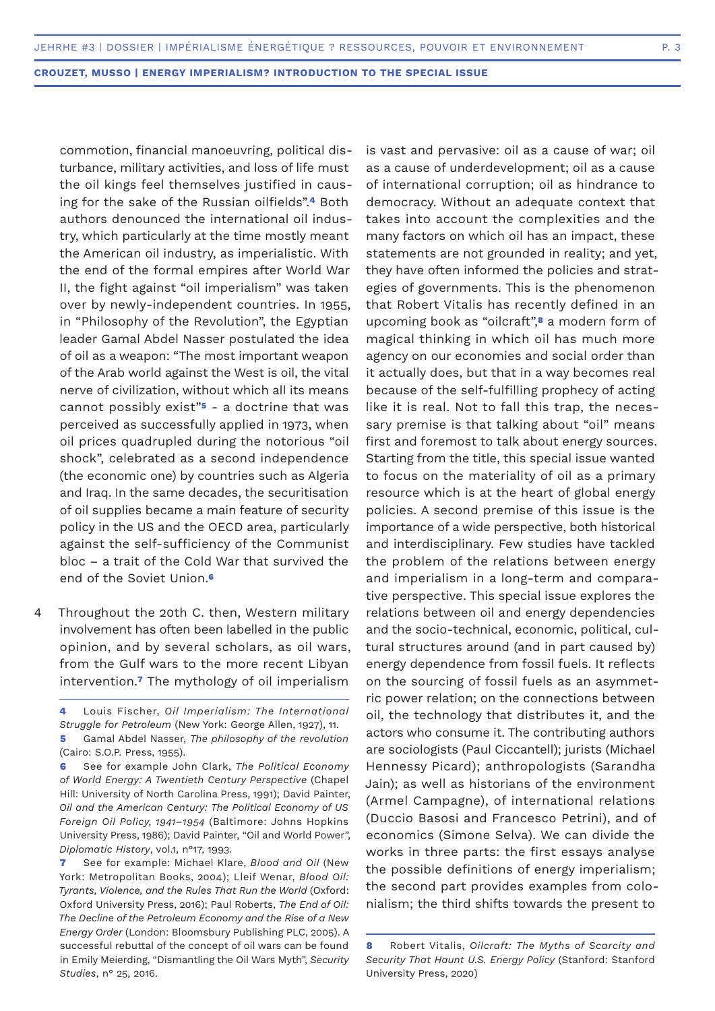commotion, financial manoeuvring, political disturbance, military activities, and loss of life must the oil kings feel themselves justified in causing for the sake of the Russian oilfields".**4** Both authors denounced the international oil industry, which particularly at the time mostly meant the American oil industry, as imperialistic. With the end of the formal empires after World War II, the fight against "oil imperialism" was taken over by newly-independent countries. In 1955, in "Philosophy of the Revolution", the Egyptian leader Gamal Abdel Nasser postulated the idea of oil as a weapon: "The most important weapon of the Arab world against the West is oil, the vital nerve of civilization, without which all its means cannot possibly exist"**5** - a doctrine that was perceived as successfully applied in 1973, when oil prices quadrupled during the notorious "oil shock", celebrated as a second independence (the economic one) by countries such as Algeria and Iraq. In the same decades, the securitisation of oil supplies became a main feature of security policy in the US and the OECD area, particularly against the self-sufficiency of the Communist bloc – a trait of the Cold War that survived the end of the Soviet Union.**<sup>6</sup>**

Throughout the 20th C. then, Western military involvement has often been labelled in the public opinion, and by several scholars, as oil wars, from the Gulf wars to the more recent Libyan intervention.**7** The mythology of oil imperialism 4

**5** Gamal Abdel Nasser, *The philosophy of the revolution* (Cairo: S.O.P. Press, 1955).

**6** See for example John Clark, *The Political Economy of World Energy: A Twentieth Century Perspective* (Chapel Hill: University of North Carolina Press, 1991); David Painter, *Oil and the American Century: The Political Economy of US Foreign Oil Policy, 1941–1954* (Baltimore: Johns Hopkins University Press, 1986); David Painter, "Oil and World Power", *Diplomatic History*, vol.1, n°17, 1993.

**7** See for example: Michael Klare, *Blood and Oil* (New York: Metropolitan Books, 2004); Lleif Wenar, *Blood Oil: Tyrants, Violence, and the Rules That Run the World* (Oxford: Oxford University Press, 2016); Paul Roberts, *The End of Oil: The Decline of the Petroleum Economy and the Rise of a New Energy Order* (London: Bloomsbury Publishing PLC, 2005). A successful rebuttal of the concept of oil wars can be found in Emily Meierding, "Dismantling the Oil Wars Myth", *Security Studies*, n° 25, 2016.

is vast and pervasive: oil as a cause of war; oil as a cause of underdevelopment; oil as a cause of international corruption; oil as hindrance to democracy. Without an adequate context that takes into account the complexities and the many factors on which oil has an impact, these statements are not grounded in reality; and yet, they have often informed the policies and strategies of governments. This is the phenomenon that Robert Vitalis has recently defined in an upcoming book as "oilcraft",**8** a modern form of magical thinking in which oil has much more agency on our economies and social order than it actually does, but that in a way becomes real because of the self-fulfilling prophecy of acting like it is real. Not to fall this trap, the necessary premise is that talking about "oil" means first and foremost to talk about energy sources. Starting from the title, this special issue wanted to focus on the materiality of oil as a primary resource which is at the heart of global energy policies. A second premise of this issue is the importance of a wide perspective, both historical and interdisciplinary. Few studies have tackled the problem of the relations between energy and imperialism in a long-term and comparative perspective. This special issue explores the relations between oil and energy dependencies and the socio-technical, economic, political, cultural structures around (and in part caused by) energy dependence from fossil fuels. It reflects on the sourcing of fossil fuels as an asymmetric power relation; on the connections between oil, the technology that distributes it, and the actors who consume it. The contributing authors are sociologists (Paul Ciccantell); jurists (Michael Hennessy Picard); anthropologists (Sarandha Jain); as well as historians of the environment (Armel Campagne), of international relations (Duccio Basosi and Francesco Petrini), and of economics (Simone Selva). We can divide the works in three parts: the first essays analyse the possible definitions of energy imperialism; the second part provides examples from colonialism; the third shifts towards the present to

**<sup>4</sup>** Louis Fischer, *Oil Imperialism: The International Struggle for Petroleum* (New York: George Allen, 1927), 11.

**<sup>8</sup>** Robert Vitalis, *Oilcraft: The Myths of Scarcity and Security That Haunt U.S. Energy Policy* (Stanford: Stanford University Press, 2020)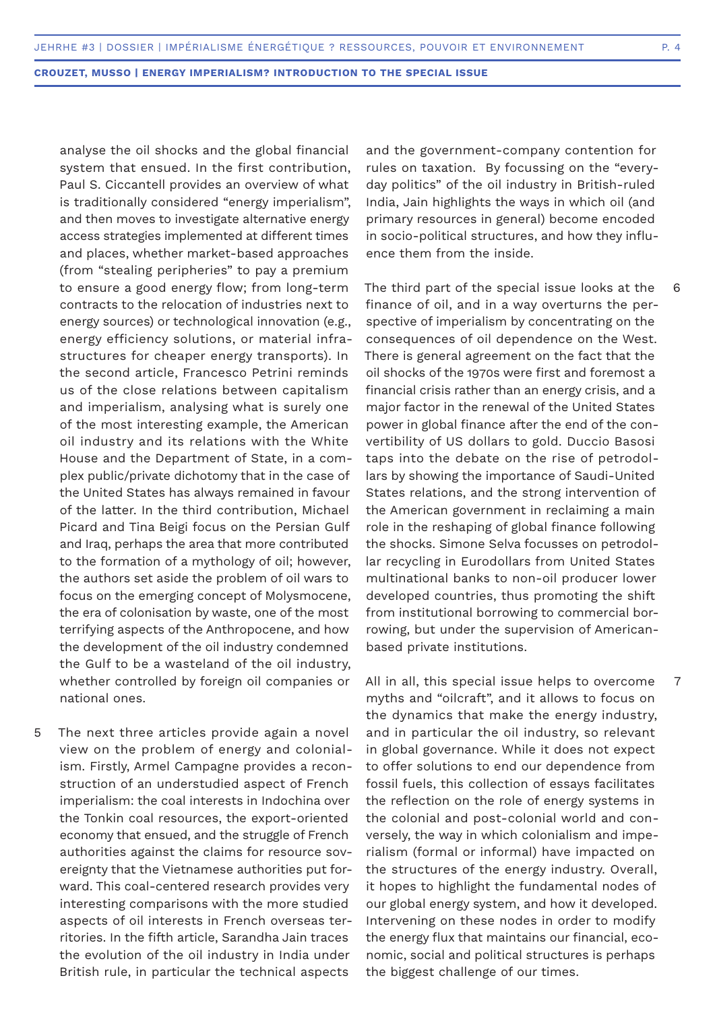analyse the oil shocks and the global financial system that ensued. In the first contribution, Paul S. Ciccantell provides an overview of what is traditionally considered "energy imperialism", and then moves to investigate alternative energy access strategies implemented at different times and places, whether market-based approaches (from "stealing peripheries" to pay a premium to ensure a good energy flow; from long-term contracts to the relocation of industries next to energy sources) or technological innovation (e.g., energy efficiency solutions, or material infrastructures for cheaper energy transports). In the second article, Francesco Petrini reminds us of the close relations between capitalism and imperialism, analysing what is surely one of the most interesting example, the American oil industry and its relations with the White House and the Department of State, in a complex public/private dichotomy that in the case of the United States has always remained in favour of the latter. In the third contribution, Michael Picard and Tina Beigi focus on the Persian Gulf and Iraq, perhaps the area that more contributed to the formation of a mythology of oil; however, the authors set aside the problem of oil wars to focus on the emerging concept of Molysmocene, the era of colonisation by waste, one of the most terrifying aspects of the Anthropocene, and how the development of the oil industry condemned the Gulf to be a wasteland of the oil industry, whether controlled by foreign oil companies or national ones.

The next three articles provide again a novel view on the problem of energy and colonialism. Firstly, Armel Campagne provides a reconstruction of an understudied aspect of French imperialism: the coal interests in Indochina over the Tonkin coal resources, the export-oriented economy that ensued, and the struggle of French authorities against the claims for resource sovereignty that the Vietnamese authorities put forward. This coal-centered research provides very interesting comparisons with the more studied aspects of oil interests in French overseas territories. In the fifth article, Sarandha Jain traces the evolution of the oil industry in India under British rule, in particular the technical aspects 5

and the government-company contention for rules on taxation. By focussing on the "everyday politics" of the oil industry in British-ruled India, Jain highlights the ways in which oil (and primary resources in general) become encoded in socio-political structures, and how they influence them from the inside.

The third part of the special issue looks at the finance of oil, and in a way overturns the perspective of imperialism by concentrating on the consequences of oil dependence on the West. There is general agreement on the fact that the oil shocks of the 1970s were first and foremost a financial crisis rather than an energy crisis, and a major factor in the renewal of the United States power in global finance after the end of the convertibility of US dollars to gold. Duccio Basosi taps into the debate on the rise of petrodollars by showing the importance of Saudi-United States relations, and the strong intervention of the American government in reclaiming a main role in the reshaping of global finance following the shocks. Simone Selva focusses on petrodollar recycling in Eurodollars from United States multinational banks to non-oil producer lower developed countries, thus promoting the shift from institutional borrowing to commercial borrowing, but under the supervision of Americanbased private institutions.

All in all, this special issue helps to overcome myths and "oilcraft", and it allows to focus on the dynamics that make the energy industry, and in particular the oil industry, so relevant in global governance. While it does not expect to offer solutions to end our dependence from fossil fuels, this collection of essays facilitates the reflection on the role of energy systems in the colonial and post-colonial world and conversely, the way in which colonialism and imperialism (formal or informal) have impacted on the structures of the energy industry. Overall, it hopes to highlight the fundamental nodes of our global energy system, and how it developed. Intervening on these nodes in order to modify the energy flux that maintains our financial, economic, social and political structures is perhaps the biggest challenge of our times.

6

7